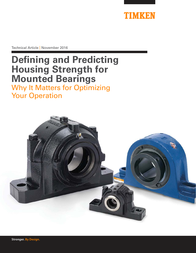

Technical Article | November 2016

# **Defining and Predicting Housing Strength for Mounted Bearings** Why It Matters for Optimizing Your Operation

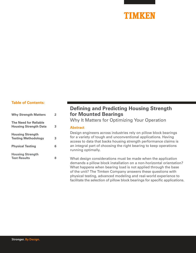# TIMKEN

#### **Table of Contents:**

| <b>Why Strength Matters</b>                                  | 2 |
|--------------------------------------------------------------|---|
| <b>The Need for Reliable</b><br><b>Housing Strength Data</b> | 3 |
| <b>Housing Strength</b><br><b>Testing Methodology</b>        | 3 |
| <b>Physical Testing</b>                                      | 6 |
| <b>Housing Strength</b><br><b>Test Results</b>               | 8 |

## **Defining and Predicting Housing Strength for Mounted Bearings**

Why It Matters for Optimizing Your Operation

#### **Abstract**

Design engineers across industries rely on pillow block bearings for a variety of tough and unconventional applications. Having access to data that backs housing strength performance claims is an integral part of choosing the right bearing to keep operations running optimally.

What design considerations must be made when the application demands a pillow block installation on a non-horizontal orientation? What happens when bearing load is not applied through the base of the unit? The Timken Company answers these questions with physical testing, advanced modeling and real-world experience to facilitate the selection of pillow block bearings for specific applications.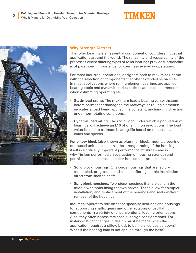



### **Why Strength Matters**

The roller bearing is an essential component of countless industrial applications around the world. The reliability and repeatability of the processes where differing types of roller bearings provide functionality is of paramount importance for countless everyday operations.

For most industrial operations, designers seek to maximize uptime with the selection of components that offer extended service life. In most applications where rolling-element bearings are applied, bearing **static** and **dynamic load capacities** are crucial parameters when estimating operating life.

- **Static load rating:** The maximum load a bearing can withstand before permanent damage to the raceways or rolling elements; indicates a load being applied in a constant, unchanging direction under non-rotating conditions.
- **Dynamic load rating:** The radial load under which a population of bearings will achieve an L10 of one million revolutions. The load value is used to estimate bearing life based on the actual applied loads and speeds.

For **pillow block** (also known as plummer block, mounted bearing or housed unit) applications, the strength rating of the housing itself is a critically important performance attribute—and is why Timken performed an evaluation of housing strength and permissible load across its roller housed unit product line.

- **Solid block housings:** One-piece housings that are factory assembled, pregreased and sealed, offering simple installation direct from shelf to shaft.
- **Split block housings:** Two-piece housings that are split in the middle with bolts fixing the two halves. These allow for simpler installation, and replacement of the bearings and seals without removal of the housings.

Industrial operators rely on these specialty bearings and housings for supporting shafts, gears and other rotating or oscillating components in a variety of unconventional loading orientations. Also, they often necessitate special design considerations. For instance: What changes in design must be made when the application requires a pillow block to be installed upside down? What if the bearing load is not applied through the base?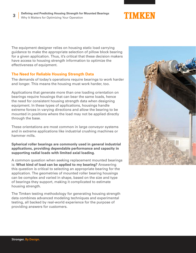

The equipment designer relies on housing static load carrying guidance to make the appropriate selection of pillow block bearing for a given application. Thus, it's critical that these decision makers have access to housing strength information to optimize the effectiveness of equipment.

#### **The Need for Reliable Housing Strength Data**

The demands of today's operations require bearings to work harder and longer. This means the housing must work harder, too.

Applications that generate more than one loading orientation on bearings require housings that can bear the same loads, hence the need for consistent housing strength data when designing equipment. In these types of applications, housings handle extreme forces in varying directions and allow the bearing to be mounted in positions where the load may not be applied directly through the base.

These orientations are most common in large conveyor systems and in extreme applications like industrial crushing machines or hammer mills.

**Spherical roller bearings are commonly used in general industrial applications, providing dependable performance and capacity in supporting radial loads with limited axial loading.**

A common question when seeking replacement mounted bearings is: **What kind of load can be applied to my bearing?** Answering this question is critical to selecting an appropriate bearing for the application. The geometries of mounted roller bearing housings can be complex and varied in shape, based on the size and type of bearings they support, making it complicated to estimate housing strength.

The Timken testing methodology for generating housing strength data combines advanced modeling techniques and experimental testing, all backed by real-world experience for the purpose of providing answers for customers.

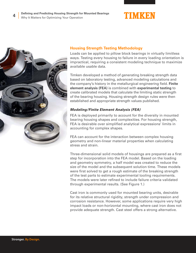





#### **Housing Strength Testing Methodology**

Loads can be applied to pillow block bearings in virtually limitless ways. Testing every housing to failure in every loading orientation is impractical, requiring a consistent modeling technique to maximize available usable data.

Timken developed a method of generating breaking strength data based on laboratory testing, advanced modeling calculations and the company's history in the metallurgical engineering field. **Finite element analysis (FEA)** is combined with **experimental testing** to create calibrated models that calculate the limiting static strength of the bearing housing. Housing strength design rules were then established and appropriate strength values published.

#### **Modeling/Finite Element Analysis (FEA)**

FEA is deployed primarily to account for the diversity in mounted bearing housing shapes and complexities. For housing strength, FEA is desirable over simplified analytical expressions' limits in accounting for complex shapes.

FEA can account for the interaction between complex housing geometry and non-linear material properties when calculating stress and strain.

Three-dimensional solid models of housings are prepared as a first step for incorporation into the FEA model. Based on the loading and geometry symmetry, a half model was created to reduce the size of the model and the subsequent solution time. These models were first solved to get a rough estimate of the breaking strength of the test parts to estimate experimental tooling requirements. The models were later refined to include failure criteria validated through experimental results. (See Figure 1.)

Cast iron is commonly used for mounted bearing units, desirable for its relative structural rigidity, strength under compression and corrosion resistance. However, some applications require very high impact loads or non-horizontal mounting, where cast iron does not provide adequate strength. Cast steel offers a strong alternative.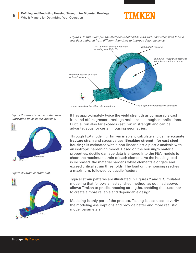

*Figure 1: In this example, the material is defined as AISI 1035 cast steel, with tensile test data gathered from different foundries to improve data relevancy.* 



*Figure 2: Stress is concentrated near lubrication holes in this housing.*



*Figure 3: Strain contour plot.*



It has approximately twice the yield strength as comparable cast iron and offers greater breakage resistance in tougher applications. Ductile iron also far exceeds cast iron in strength and can be advantageous for certain housing geometries.

Through FEA modeling, Timken is able to calculate and define **accurate fracture strain** and stress values. **Breaking strength for cast steel housings** is estimated with a non-linear elastic-plastic analysis with an isotropic hardening model. Based on the housing's material properties, ductile damage data is entered into the FEA models to check the maximum strain of each element. As the housing load is increased, the material hardens while elements elongate and exceed critical strain thresholds. The load on the housing reaches a maximum, followed by ductile fracture.

Typical strain patterns are illustrated in Figures 2 and 3. Simulated modeling that follows an established method, as outlined above, allows Timken to predict housing strengths, enabling the customer to create a more reliable and dependable design.

Modeling is only part of the process. Testing is also used to verify the modeling assumptions and provide better and more realistic model parameters.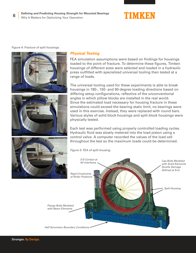

*Figure 4: Fracture of split housings.*



### **Physical Testing**

FEA simulation assumptions were based on findings for housings loaded to the point of fracture. To determine these figures, Timken housings of different sizes were selected and loaded in a hydraulic press outfitted with specialized universal tooling then tested at a range of loads.

The universal tooling used for these experiments is able to break housings in 180-, 150- and 90-degree loading directions based on differing setup configurations, reflective of the unconventional angles in which pillow blocks are installed in the real world. Since the estimated load necessary for housing fracture in these simulations could exceed the bearing static limit, no bearings were used in this exercise. Instead, they were replaced with round bars. Various styles of solid block housings and split block housings were physically tested.

Each test was performed using properly controlled loading cycles. Hydraulic fluid was slowly metered into the load piston using a control valve. A computer recorded the values of the load cell throughout the test so the maximum loads could be determined.

*Figure 5: FEA of split housing.*

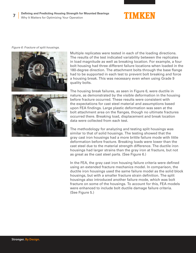

*Figure 6: Fracture of split housings.*



Multiple replicates were tested in each of the loading directions. The results of the test indicated variability between the replicates in load magnitude as well as breaking location. For example, a four bolt housing had three different failure locations when loaded in the 180-degree direction. The attachment bolts through the base flange had to be supported in each test to prevent bolt breaking and force a housing break. This was necessary even when using Grade 9 quality bolts.



The housing break failures, as seen in Figure 6, were ductile in nature, as demonstrated by the visible deformation in the housing before fracture occurred. These results were consistent with the expectations for cast steel material and assumptions based upon FEA findings. Large plastic deformation was seen at the bolt attachment area on the flanges, though no ultimate fractures occurred there. Breaking load, displacement and break location data were collected from each test.

The methodology for analyzing and testing split housings was similar to that of solid housings. The testing showed that the gray cast iron housings had a more brittle failure mode with little deformation before fracture. Breaking loads were lower than the cast steel due to the material strength difference. The ductile iron housings had larger strains than the gray iron at fracture, but not as great as the cast steel parts. (See Figure 6.)

In the FEA, the gray cast iron housing failure criteria were defined using an extended fracture mechanics model. In comparison, the ductile iron housings used the same failure model as the solid block housings, but with a smaller fracture strain definition. The split housings also introduced another failure mode, which was bolt fracture on some of the housings. To account for this, FEA models were enhanced to include bolt ductile damage failure criteria. (See Figure 5.)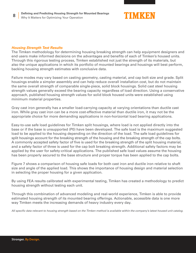

#### **Housing Strength Test Results**

The Timken methodology for determining housing breaking strength can help equipment designers and end users make informed decisions on the advantages and benefits of each of Timken's housed units. Through this rigorous testing process, Timken established not just the strength of its materials, but also the unique applications in which its portfolio of mounted bearings and housings will best perform, backing housing strength estimates with conclusive data.

Failure modes may vary based on casting geometry, casting material, and cap bolt size and grade. Split housings enable a simpler assembly and can help reduce overall installation cost, but do not maintain the same overall strength of comparable single-piece, solid block housings. Solid cast steel housing strength values generally exceed the bearing capacity regardless of load direction. Using a conservative approach, published housing strength values for solid block housed units were established using minimum material properties.

Gray cast iron generally has a smaller load-carrying capacity at varying orientations than ductile cast iron. While gray cast iron can be a more cost-effective material than ductile iron, it may not be the appropriate choice for more demanding applications in non-horizontal load bearing applications.

Easy-to-use safe load guidelines for Timken split housings, where load is not applied directly into the base or if the base is unsupported (P0) have been developed. The safe load is the maximum suggested load to be applied to the housing depending on the direction of the load. The safe load guidelines for split housings account for the breaking strength of the housing and the breaking strength of the cap bolts. A commonly accepted safety factor of five is used for the breaking strength of the split housing material, and a safety factor of three is used for the cap bolt breaking strength. Additional safety factors may be applied by the user for safety-critical applications. The published safe load values assume the housing has been properly secured to the base structure and proper torque has been applied to the cap bolts.

Figure 7 shows a comparison of housing safe loads for both cast iron and ductile iron relative to shaft size and angle of the applied load. This shows the importance of housing design and material selection in selecting the proper housing for a given application.

By using FEA results calibrated with experimental testing, Timken has created a methodology to predict housing strength without testing each unit.

Through this combination of advanced modeling and real-world experience, Timken is able to provide estimated housing strength of its mounted bearing offerings. Actionable, accessible data is one more way Timken meets the increasing demands of heavy industry every day.

*All specific data relevant to housing strength based on the Timken method is available within the company's latest housed unit catalog.*